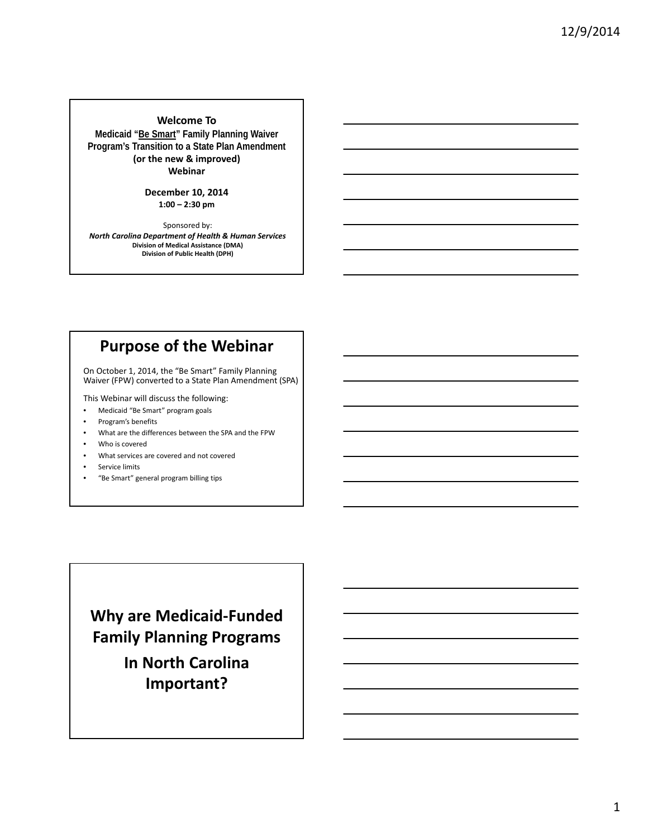**Welcome To Medicaid "Be Smart" Family Planning Waiver Program's Transition to a State Plan Amendment (or the new & improved) Webinar**

#### **December 10, 2014 1:00 – 2:30 pm**

Sponsored by: *North Carolina Department of Health & Human Services* **Division of Medical Assistance (DMA) Division of Public Health (DPH)**

# **Purpose of the Webinar**

On October 1, 2014, the "Be Smart" Family Planning Waiver (FPW) converted to a State Plan Amendment (SPA)

This Webinar will discuss the following:

- Medicaid "Be Smart" program goals
- Program's benefits
- What are the differences between the SPA and the FPW
- Who is covered
- What services are covered and not covered
- Service limits
- "Be Smart" general program billing tips

**Why are Medicaid‐Funded Family Planning Programs In North Carolina Important?**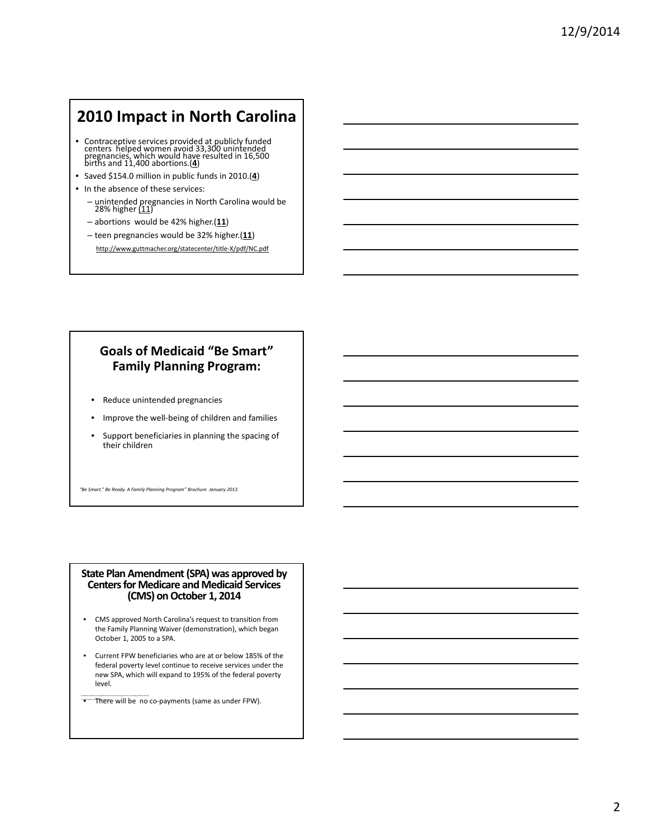# **2010 Impact in North Carolina**

- Contraceptive services provided at publicly funded centers helped women avoid 33,300 unintended pregnancies, which would have resulted in 16,500 births and 11,400 abortions.(**4**)
- Saved \$154.0 million in public funds in 2010.(**4**)
- In the absence of these services:
	- unintended pregnancies in North Carolina would be<br>28% higher <u>(11</u>)
	- abortions would be 42% higher.(**11**)
	- teen pregnancies would be 32% higher.(**11**)

http://www.guttmacher.org/statecenter/title‐X/pdf/NC.pdf

### **Goals of Medicaid "Be Smart" Family Planning Program:**

- Reduce unintended pregnancies
- Improve the well‐being of children and families
- Support beneficiaries in planning the spacing of their children

*"Be Smart." Be Ready. A Family Planning Program" Brochure January 2013*

## **State Plan Amendment(SPA) was approved by Centersfor Medicare and Medicaid Services (CMS) onOctober 1, <sup>2014</sup>**

- CMS approved North Carolina's request to transition from the Family Planning Waiver (demonstration), which began October 1, 2005 to a SPA.
- Current FPW beneficiaries who are at or below 185% of the federal poverty level continue to receive services under the new SPA, which will expand to 195% of the federal poverty level.
- There will be no co‐payments (same as under FPW).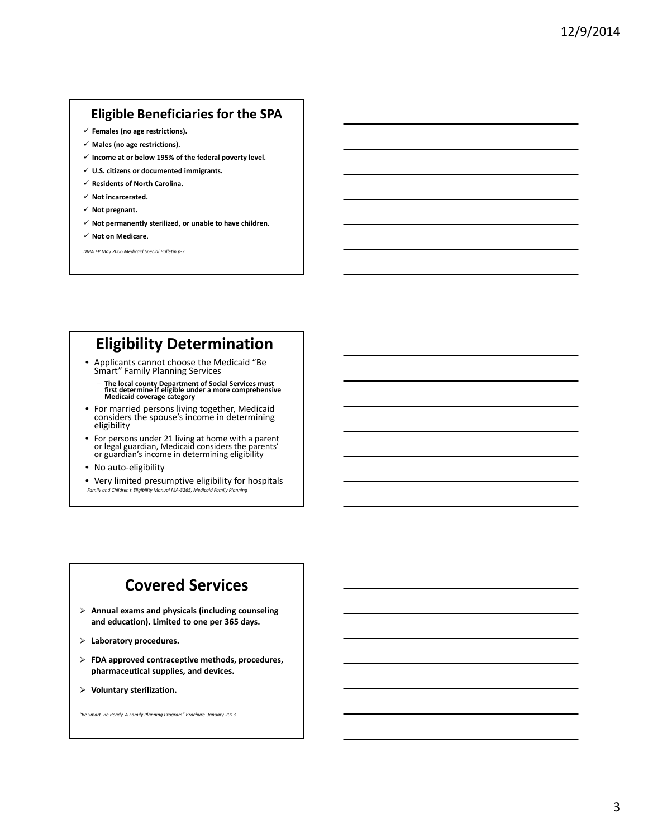### **Eligible Beneficiaries for the SPA**

- 9 **Females (no age restrictions).**
- 9 **Males (no age restrictions).**
- 9 **Income at or below 195% of the federal poverty level.**
- 9 **U.S. citizens or documented immigrants.**
- 9 **Residents of North Carolina.**
- 9 **Not incarcerated.**
- 9 **Not pregnant.**
- 9 **Not permanently sterilized, or unable to have children.**
- 9 **Not on Medicare**.

*DMA FP May 2006 Medicaid Special Bulletin p‐3*

# **Eligibility Determination**

- Applicants cannot choose the Medicaid "Be Smart" Family Planning Services
	- The local county Department of Social Services must<br>first determine if eligible under a more comprehensive<br>Medicaid coverage category
- For married persons living together, Medicaid considers the spouse's income in determining<br>eligibility
- For persons under 21 living at home with a parent or legal guardian, Medicaid considers the parents' or guardian's income in determining eligibility
- No auto-eligibility
- Very limited presumptive eligibility for hospitals *Family and Children's Eligibility Manual MA‐3265, Medicaid Family Planning*

# **Covered Services**

- ¾ **Annual exams and physicals (including counseling and education). Limited to one per 365 days.**
- ¾ **Laboratory procedures.**
- ¾ **FDA approved contraceptive methods, procedures, pharmaceutical supplies, and devices.**
- ¾ **Voluntary sterilization.**

*"Be Smart. Be Ready. A Family Planning Program" Brochure January 2013*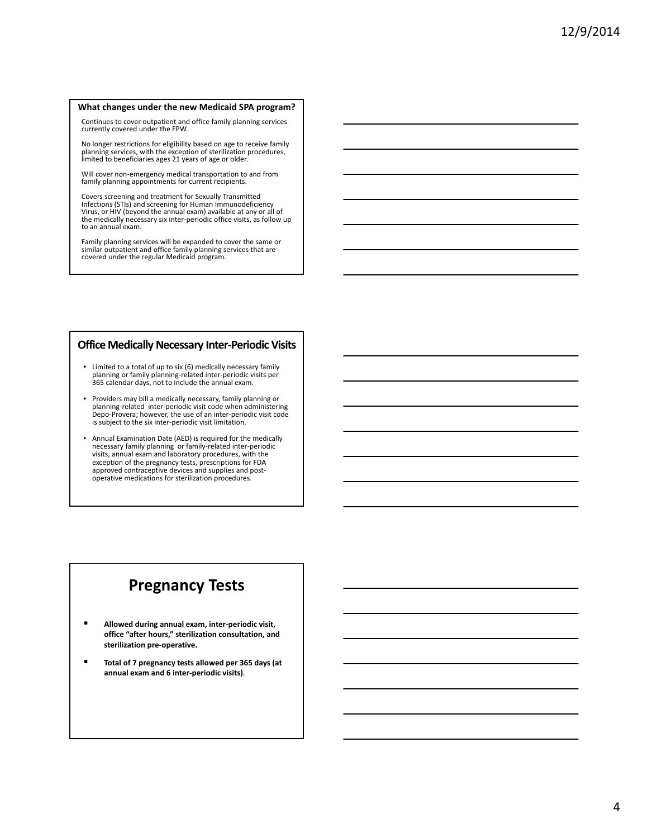#### **What changes under the new Medicaid SPA program?**

Continues to cover outpatient and office family planning services currently covered under the FPW.

No longer restrictions for eligibility based on age to receive family planning services, with the exception of sterilization procedures, limited to beneficiaries ages 21 years of age or older.

Will cover non‐emergency medical transportation to and from family planning appointments for current recipients.

Covers screening and treatment for Sexually Transmitted Infections (STIs) and screening for Human Immunodeficiency Virus, or HIV (beyond the annual exam) available at any or all of the medically necessary six inter‐periodic office visits, as follow up to an annual exam.

Family planning services will be expanded to cover the same or similar outpatient and office family planning services that are covered under the regular Medicaid program.

#### **Office Medically Necessary Inter‐Periodic Visits**

- Limited to a total of up to six (6) medically necessary family planning or family planning‐related inter‐periodic visits per 365 calendar days, not to include the annual exam.
- Providers may bill a medically necessary, family planning or planning‐related inter‐periodic visit code when administering Depo‐Provera; however, the use of an inter‐periodic visit code is subject to the six inter‐periodic visit limitation.
- Annual Examination Date (AED) is required for the medically necessary family planning or family-related inter-periodic visits, annual exam and laboratory procedures, with the exception of the pregnancy tests, prescriptions for FDA approved contraceptive devices and supplies and postoperative medications for sterilization procedures.

### **Pregnancy Tests**

- **Allowed during annual exam, inter‐periodic visit, office "after hours," sterilization consultation, and sterilization pre‐operative.**
- **Total of 7 pregnancy tests allowed per 365 days (at annual exam and 6 inter‐periodic visits)**.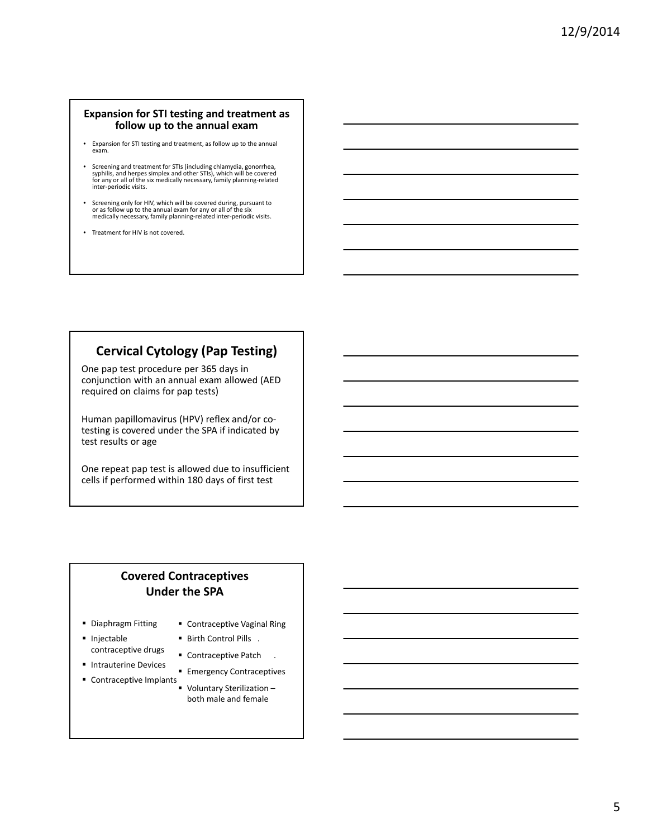#### **Expansion for STI testing and treatment as follow up to the annual exam**

- Expansion for STI testing and treatment, as follow up to the annual exam.
- Screening and treatment for STIs (including chlamydia, gonorrhea, syphilis, and herpes simplex and other STIs), which will be covered For any or all of the six medically necessary, family planning‐related inter‐periodic visits.
- Screening only for HIV, which will be covered during, pursuant to or as follow up to the annual exam for any or all of the six medically necessary, family planning-related inter-periodic visits.
- Treatment for HIV is not covered.

### **Cervical Cytology (Pap Testing)**

One pap test procedure per 365 days in conjunction with an annual exam allowed (AED required on claims for pap tests)

Human papillomavirus (HPV) reflex and/or co‐ testing is covered under the SPA if indicated by test results or age

One repeat pap test is allowed due to insufficient cells if performed within 180 days of first test

### **Covered Contraceptives Under the SPA**

- **Diaphragm Fitting**
- Contraceptive Vaginal Ring
- Injectable contraceptive drugs
- Birth Control Pills . ■ Contraceptive Patch .
- **Intrauterine Devices**
- Contraceptive Implants **Emergency Contraceptives** 
	- Voluntary Sterilization both male and female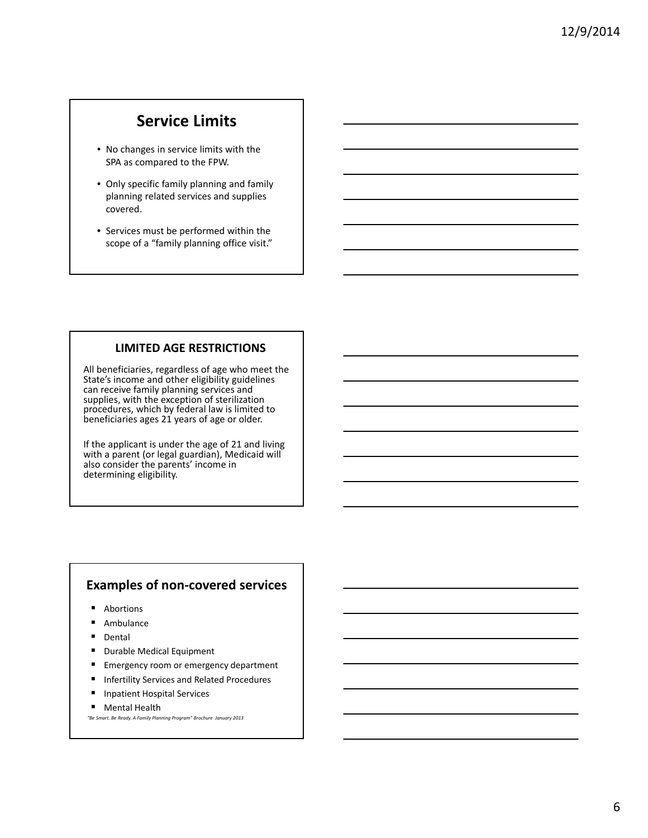# **Service Limits**

- No changes in service limits with the SPA as compared to the FPW.
- Only specific family planning and family planning related services and supplies covered.
- Services must be performed within the scope of a "family planning office visit."

### **LIMITED AGE RESTRICTIONS**

All beneficiaries, regardless of age who meet the State's income and other eligibility guidelines can receive family planning services and supplies, with the exception of sterilization procedures, which by federal law is limited to beneficiaries ages 21 years of age or older.

If the applicant is under the age of 21 and living with a parent (or legal guardian), Medicaid will also consider the parents' income in determining eligibility.

### **Examples of non‐covered services**

- **Abortions**
- Ambulance
- Dental
- Durable Medical Equipment
- Emergency room or emergency department
- Infertility Services and Related Procedures
- Inpatient Hospital Services
- **Mental Health**

*"Be Smart. Be Ready. A Family Planning Program" Brochure January 2013*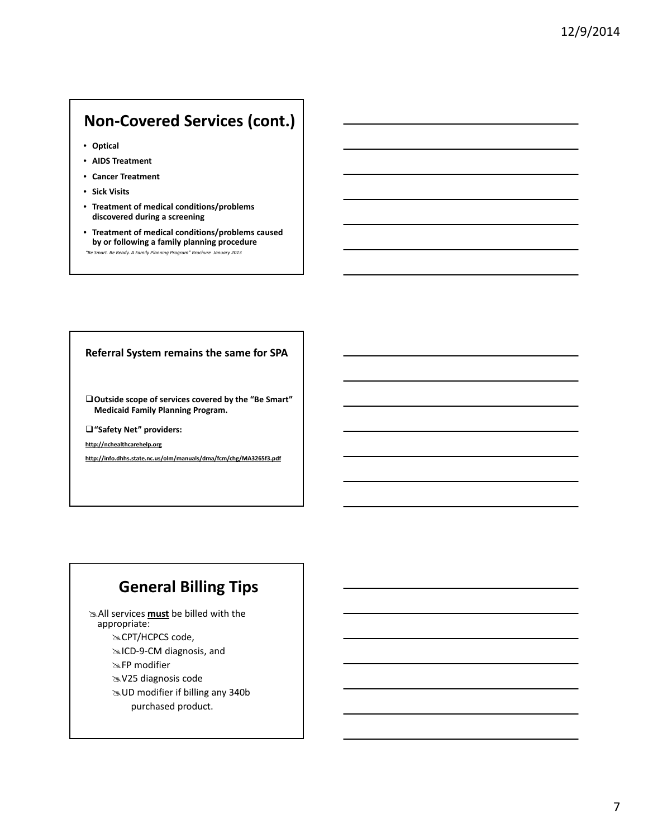# **Non‐Covered Services (cont.)**

- **Optical**
- **AIDS Treatment**
- **Cancer Treatment**
- **Sick Visits**
- **Treatment of medical conditions/problems discovered during a screening**
- **Treatment of medical conditions/problems caused by or following a family planning procedure**
- *"Be Smart. Be Ready. A Family Planning Program" Brochure January 2013*

#### **Referral System remains the same for SPA**

**Outside scope of services covered by the "Be Smart" Medicaid Family Planning Program.**

**"Safety Net" providers:**

**http://nchealthcarehelp.org**

**http://info.dhhs.state.nc.us/olm/manuals/dma/fcm/chg/MA3265f3.pdf**

# **General Billing Tips**

 $\cong$  All services **must** be billed with the appropriate: \*CPT/HCPCS code, ≥ICD-9-CM diagnosis, and \*FP modifier

\*V25 diagnosis code

& UD modifier if billing any 340b

purchased product.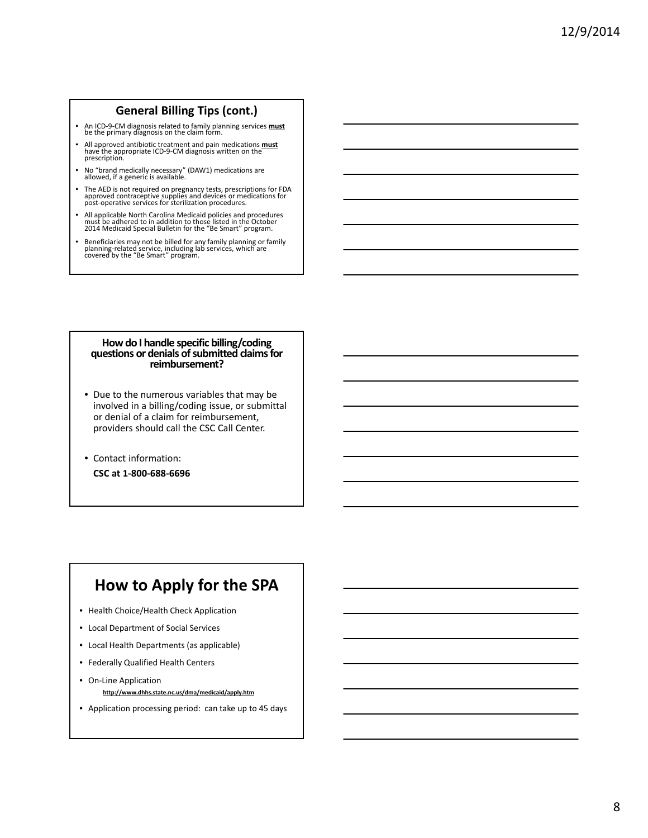### **General Billing Tips (cont.)**

- An ICD‐9‐CM diagnosis related to family planning services **must** be the primary diagnosis on the claim form.
- All approved antibiotic treatment and pain medications **must** have the appropriate ICD‐9‐CM diagnosis written on the prescription.
- No "brand medically necessary" (DAW1) medications are allowed, if <sup>a</sup> generic is available.
- The AED is not required on pregnancy tests, prescriptions for FDA approved contraceptive supplies and devices or medications for post‐operative services for sterilization procedures.
- All applicable North Carolina Medicaid policies and procedures<br>must be adhered to in addition to those listed in the October<br>2014 Medicaid Special Bulletin for the "Be Smart" program.
- Beneficiaries may not be billed for any family planning or family<br>planning-related service, including lab services, which are<br>covered by the "Be Smart" program.

#### **Howdo I handle specific billing/coding questions or denials ofsubmitted claimsfor reimbursement?**

- Due to the numerous variables that may be involved in a billing/coding issue, or submittal or denial of a claim for reimbursement, providers should call the CSC Call Center.
- Contact information:
	- **CSC at 1‐800‐688‐6696**

# **How to Apply for the SPA**

- Health Choice/Health Check Application
- Local Department of Social Services
- Local Health Departments (as applicable)
- Federally Qualified Health Centers
- On‐Line Application **http://www.dhhs.state.nc.us/dma/medicaid/apply.htm**
- Application processing period: can take up to 45 days